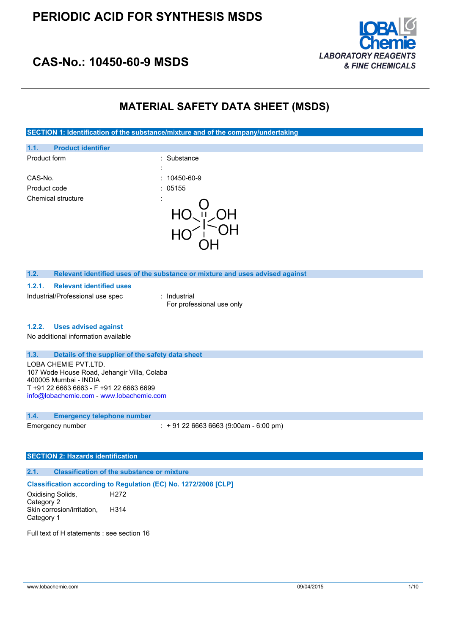

## **CAS-No.: 10450-60-9 MSDS**

## **MATERIAL SAFETY DATA SHEET (MSDS)**

**SECTION 1: Identification of the substance/mixture and of the company/undertaking**

| 1.1.<br><b>Product identifier</b>  |                    |
|------------------------------------|--------------------|
| Product form<br>$\cdot$            | : Substance        |
| CAS-No.                            | $: 10450 - 60 - 9$ |
| Product code                       | : 05155            |
| Chemical structure<br>٠<br>$\cdot$ |                    |

#### **1.2. Relevant identified uses of the substance or mixture and uses advised against**

#### **1.2.1. Relevant identified uses**

Industrial/Professional use spec : Industrial

For professional use only

### **1.2.2. Uses advised against**

No additional information available

#### **1.3. Details of the supplier of the safety data sheet**

LOBA CHEMIE PVT.LTD. 107 Wode House Road, Jehangir Villa, Colaba 400005 Mumbai - INDIA T +91 22 6663 6663 - F +91 22 6663 6699 [info@lobachemie.com](mailto:info@lobachemie.com) - <www.lobachemie.com>

#### **1.4. Emergency telephone number**

Emergency number : + 91 22 6663 6663 (9:00am - 6:00 pm)

#### **SECTION 2: Hazards identification**

## **2.1. Classification of the substance or mixture**

## **Classification according to Regulation (EC) No. 1272/2008 [CLP]**

Oxidising Solids, Category 2 H272 Skin corrosion/irritation, Category 1 H314

Full text of H statements : see section 16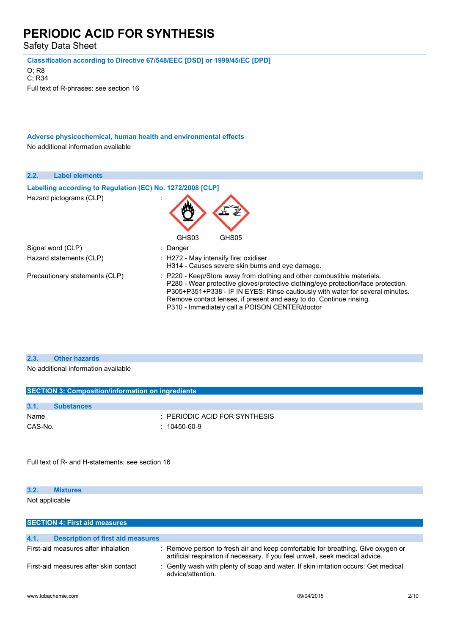Safety Data Sheet

**Classification according to Directive 67/548/EEC [DSD] or 1999/45/EC [DPD]**

O; R8 C; R34 Full text of R-phrases: see section 16

**Adverse physicochemical, human health and environmental effects** No additional information available

| 2.2.<br><b>Label elements</b>                              |                                                                                                                                                                                                                                                                                                                                                                        |
|------------------------------------------------------------|------------------------------------------------------------------------------------------------------------------------------------------------------------------------------------------------------------------------------------------------------------------------------------------------------------------------------------------------------------------------|
| Labelling according to Regulation (EC) No. 1272/2008 [CLP] |                                                                                                                                                                                                                                                                                                                                                                        |
| Hazard pictograms (CLP)                                    |                                                                                                                                                                                                                                                                                                                                                                        |
|                                                            | GHS03<br>GHS05                                                                                                                                                                                                                                                                                                                                                         |
| Signal word (CLP)                                          | : Danger                                                                                                                                                                                                                                                                                                                                                               |
| Hazard statements (CLP)                                    | $\therefore$ H272 - May intensify fire; oxidiser.<br>H314 - Causes severe skin burns and eye damage.                                                                                                                                                                                                                                                                   |
| Precautionary statements (CLP)                             | : P220 - Keep/Store away from clothing and other combustible materials.<br>P280 - Wear protective gloves/protective clothing/eye protection/face protection.<br>P305+P351+P338 - IF IN EYES: Rinse cautiously with water for several minutes.<br>Remove contact lenses, if present and easy to do. Continue rinsing.<br>P310 - Immediately call a POISON CENTER/doctor |

### **2.3. Other hazards**

No additional information available

| <b>SECTION 3: Composition/information on ingredients</b> |                   |                                          |  |
|----------------------------------------------------------|-------------------|------------------------------------------|--|
|                                                          |                   |                                          |  |
| 3.1.                                                     | <b>Substances</b> |                                          |  |
| Name                                                     |                   | $\therefore$ PERIODIC ACID FOR SYNTHESIS |  |
| CAS-No.                                                  |                   | $: 10450 - 60 - 9$                       |  |

Full text of R- and H-statements: see section 16

## **3.2. Mixtures** Not applicable

| <b>SECTION 4: First aid measures</b>             |                                                                                                                                                                  |      |
|--------------------------------------------------|------------------------------------------------------------------------------------------------------------------------------------------------------------------|------|
|                                                  |                                                                                                                                                                  |      |
| 4.1.<br><b>Description of first aid measures</b> |                                                                                                                                                                  |      |
| First-aid measures after inhalation              | : Remove person to fresh air and keep comfortable for breathing. Give oxygen or<br>artificial respiration if necessary. If you feel unwell, seek medical advice. |      |
| First-aid measures after skin contact            | : Gently wash with plenty of soap and water. If skin irritation occurs: Get medical<br>advice/attention.                                                         |      |
| www.lobachemie.com                               | 09/04/2015                                                                                                                                                       | 2/10 |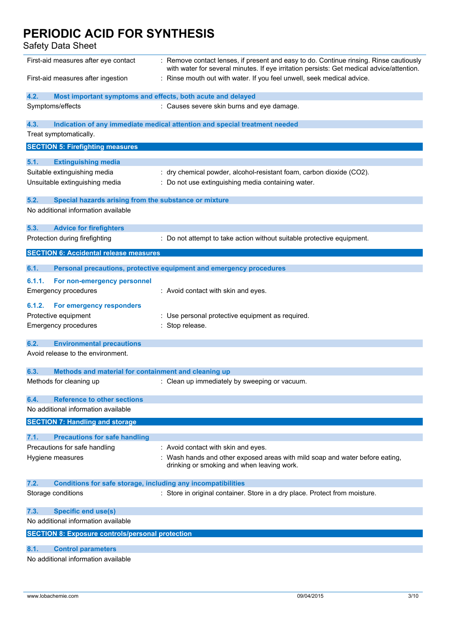| First-aid measures after eye contact                                        | : Remove contact lenses, if present and easy to do. Continue rinsing. Rinse cautiously<br>with water for several minutes. If eye irritation persists: Get medical advice/attention. |
|-----------------------------------------------------------------------------|-------------------------------------------------------------------------------------------------------------------------------------------------------------------------------------|
| First-aid measures after ingestion                                          | : Rinse mouth out with water. If you feel unwell, seek medical advice.                                                                                                              |
| 4.2.<br>Most important symptoms and effects, both acute and delayed         |                                                                                                                                                                                     |
| Symptoms/effects                                                            | : Causes severe skin burns and eye damage.                                                                                                                                          |
| 4.3.                                                                        | Indication of any immediate medical attention and special treatment needed                                                                                                          |
| Treat symptomatically.                                                      |                                                                                                                                                                                     |
| <b>SECTION 5: Firefighting measures</b>                                     |                                                                                                                                                                                     |
| 5.1.                                                                        |                                                                                                                                                                                     |
| <b>Extinguishing media</b><br>Suitable extinguishing media                  | : dry chemical powder, alcohol-resistant foam, carbon dioxide (CO2).                                                                                                                |
| Unsuitable extinguishing media                                              | : Do not use extinguishing media containing water.                                                                                                                                  |
|                                                                             |                                                                                                                                                                                     |
| 5.2.<br>Special hazards arising from the substance or mixture               |                                                                                                                                                                                     |
| No additional information available                                         |                                                                                                                                                                                     |
| 5.3.<br><b>Advice for firefighters</b>                                      |                                                                                                                                                                                     |
| Protection during firefighting                                              | : Do not attempt to take action without suitable protective equipment.                                                                                                              |
| <b>SECTION 6: Accidental release measures</b>                               |                                                                                                                                                                                     |
| 6.1.                                                                        | Personal precautions, protective equipment and emergency procedures                                                                                                                 |
| 6.1.1.<br>For non-emergency personnel                                       |                                                                                                                                                                                     |
| <b>Emergency procedures</b>                                                 | : Avoid contact with skin and eyes.                                                                                                                                                 |
|                                                                             |                                                                                                                                                                                     |
| 6.1.2.<br>For emergency responders                                          |                                                                                                                                                                                     |
| Protective equipment                                                        | : Use personal protective equipment as required.                                                                                                                                    |
| <b>Emergency procedures</b>                                                 | : Stop release.                                                                                                                                                                     |
| 6.2.<br><b>Environmental precautions</b>                                    |                                                                                                                                                                                     |
| Avoid release to the environment.                                           |                                                                                                                                                                                     |
| 6.3.<br>Methods and material for containment and cleaning up                |                                                                                                                                                                                     |
| Methods for cleaning up                                                     | : Clean up immediately by sweeping or vacuum.                                                                                                                                       |
| <b>Reference to other sections</b><br>6.4.                                  |                                                                                                                                                                                     |
| No additional information available                                         |                                                                                                                                                                                     |
| <b>SECTION 7: Handling and storage</b>                                      |                                                                                                                                                                                     |
| 7.1.<br><b>Precautions for safe handling</b>                                |                                                                                                                                                                                     |
| Precautions for safe handling                                               | : Avoid contact with skin and eyes.                                                                                                                                                 |
| Hygiene measures                                                            | : Wash hands and other exposed areas with mild soap and water before eating,                                                                                                        |
|                                                                             | drinking or smoking and when leaving work.                                                                                                                                          |
| 7.2.<br><b>Conditions for safe storage, including any incompatibilities</b> |                                                                                                                                                                                     |
| Storage conditions                                                          | : Store in original container. Store in a dry place. Protect from moisture.                                                                                                         |
| 7.3.<br><b>Specific end use(s)</b>                                          |                                                                                                                                                                                     |
| No additional information available                                         |                                                                                                                                                                                     |
| <b>SECTION 8: Exposure controls/personal protection</b>                     |                                                                                                                                                                                     |
| 8.1.<br><b>Control parameters</b>                                           |                                                                                                                                                                                     |
| No additional information available                                         |                                                                                                                                                                                     |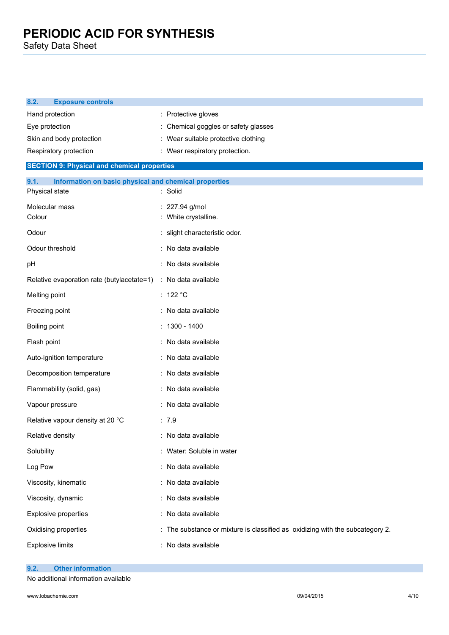| <b>Exposure controls</b><br>8.2.                                                |                                                                               |
|---------------------------------------------------------------------------------|-------------------------------------------------------------------------------|
| Hand protection                                                                 | : Protective gloves                                                           |
| Eye protection                                                                  | : Chemical goggles or safety glasses                                          |
| Skin and body protection                                                        | : Wear suitable protective clothing                                           |
| Respiratory protection                                                          | : Wear respiratory protection.                                                |
| <b>SECTION 9: Physical and chemical properties</b>                              |                                                                               |
| 9.1.<br>Information on basic physical and chemical properties<br>Physical state | : Solid                                                                       |
| Molecular mass<br>Colour                                                        | : 227.94 g/mol<br>: White crystalline.                                        |
| Odour                                                                           | : slight characteristic odor.                                                 |
| Odour threshold                                                                 | : No data available                                                           |
| pH                                                                              | : No data available                                                           |
| Relative evaporation rate (butylacetate=1)                                      | : No data available                                                           |
| Melting point                                                                   | : 122 $^{\circ}$ C                                                            |
| Freezing point                                                                  | : No data available                                                           |
| Boiling point                                                                   | $: 1300 - 1400$                                                               |
| Flash point                                                                     | : No data available                                                           |
| Auto-ignition temperature                                                       | : No data available                                                           |
| Decomposition temperature                                                       | : No data available                                                           |
| Flammability (solid, gas)                                                       | : No data available                                                           |
| Vapour pressure                                                                 | : No data available                                                           |
| Relative vapour density at 20 °C                                                | : 7.9                                                                         |
| Relative density                                                                | : No data available                                                           |
| Solubility                                                                      | : Water: Soluble in water                                                     |
| Log Pow                                                                         | : No data available                                                           |
| Viscosity, kinematic                                                            | : No data available                                                           |
| Viscosity, dynamic                                                              | : No data available                                                           |
| Explosive properties                                                            | : No data available                                                           |
| Oxidising properties                                                            | : The substance or mixture is classified as oxidizing with the subcategory 2. |
| <b>Explosive limits</b>                                                         | : No data available                                                           |

- **9.2. Other information**
- No additional information available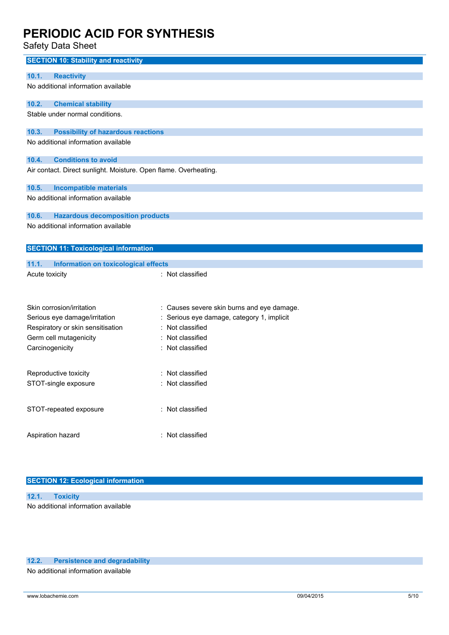Safety Data Sheet

| <b>SECTION 10: Stability and reactivity</b>                      |                                            |
|------------------------------------------------------------------|--------------------------------------------|
| 10.1.<br><b>Reactivity</b>                                       |                                            |
| No additional information available                              |                                            |
| <b>Chemical stability</b><br>10.2.                               |                                            |
| Stable under normal conditions.                                  |                                            |
| <b>Possibility of hazardous reactions</b><br>10.3.               |                                            |
| No additional information available                              |                                            |
| <b>Conditions to avoid</b><br>10.4.                              |                                            |
| Air contact. Direct sunlight. Moisture. Open flame. Overheating. |                                            |
| 10.5.<br><b>Incompatible materials</b>                           |                                            |
| No additional information available                              |                                            |
| 10.6.<br><b>Hazardous decomposition products</b>                 |                                            |
| No additional information available                              |                                            |
| <b>SECTION 11: Toxicological information</b>                     |                                            |
| 11.1.<br>Information on toxicological effects                    |                                            |
| Acute toxicity                                                   | : Not classified                           |
|                                                                  |                                            |
| Skin corrosion/irritation                                        | : Causes severe skin burns and eye damage. |
| Serious eye damage/irritation                                    | Serious eye damage, category 1, implicit   |
| Respiratory or skin sensitisation                                | Not classified                             |
| Germ cell mutagenicity                                           | Not classified                             |
| Carcinogenicity                                                  | : Not classified                           |
| Reproductive toxicity                                            | Not classified                             |
| STOT-single exposure                                             | Not classified                             |
| STOT-repeated exposure                                           | : Not classified                           |
| Aspiration hazard                                                | : Not classified                           |

## **SECTION 12: Ecological information**

| 12.1. Toxicity                      |  |
|-------------------------------------|--|
| No additional information available |  |

### **12.2. Persistence and degradability**

No additional information available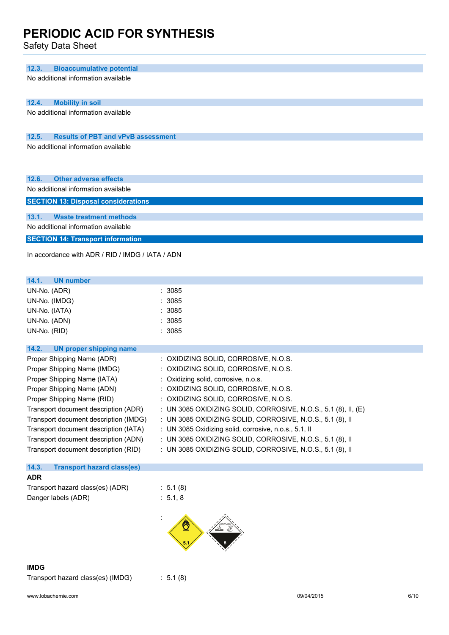Safety Data Sheet

| 12.3.<br><b>Bioaccumulative potential</b>                                    |                                                                                                                        |
|------------------------------------------------------------------------------|------------------------------------------------------------------------------------------------------------------------|
| No additional information available                                          |                                                                                                                        |
|                                                                              |                                                                                                                        |
| 12.4.<br><b>Mobility in soil</b>                                             |                                                                                                                        |
| No additional information available                                          |                                                                                                                        |
| 12.5.<br><b>Results of PBT and vPvB assessment</b>                           |                                                                                                                        |
| No additional information available                                          |                                                                                                                        |
|                                                                              |                                                                                                                        |
| 12.6.<br><b>Other adverse effects</b>                                        |                                                                                                                        |
| No additional information available                                          |                                                                                                                        |
| <b>SECTION 13: Disposal considerations</b>                                   |                                                                                                                        |
| 13.1.<br><b>Waste treatment methods</b>                                      |                                                                                                                        |
| No additional information available                                          |                                                                                                                        |
| <b>SECTION 14: Transport information</b>                                     |                                                                                                                        |
| In accordance with ADR / RID / IMDG / IATA / ADN                             |                                                                                                                        |
| 14.1.<br><b>UN number</b>                                                    |                                                                                                                        |
| UN-No. (ADR)                                                                 | :3085                                                                                                                  |
| UN-No. (IMDG)                                                                | 3085                                                                                                                   |
| UN-No. (IATA)                                                                | : 3085                                                                                                                 |
| UN-No. (ADN)                                                                 | : 3085                                                                                                                 |
| UN-No. (RID)                                                                 | : 3085                                                                                                                 |
| 14.2.<br><b>UN proper shipping name</b>                                      |                                                                                                                        |
| Proper Shipping Name (ADR)                                                   | : OXIDIZING SOLID, CORROSIVE, N.O.S.                                                                                   |
| Proper Shipping Name (IMDG)                                                  | : OXIDIZING SOLID, CORROSIVE, N.O.S.                                                                                   |
| Proper Shipping Name (IATA)                                                  | : Oxidizing solid, corrosive, n.o.s.                                                                                   |
| Proper Shipping Name (ADN)                                                   | : OXIDIZING SOLID, CORROSIVE, N.O.S.                                                                                   |
| Proper Shipping Name (RID)                                                   | : OXIDIZING SOLID, CORROSIVE, N.O.S.                                                                                   |
| Transport document description (ADR)                                         | : UN 3085 OXIDIZING SOLID, CORROSIVE, N.O.S., 5.1 (8), II, (E)                                                         |
| Transport document description (IMDG)                                        | : UN 3085 OXIDIZING SOLID, CORROSIVE, N.O.S., 5.1 (8), II                                                              |
| Transport document description (IATA)                                        | : UN 3085 Oxidizing solid, corrosive, n.o.s., 5.1, II                                                                  |
| Transport document description (ADN)<br>Transport document description (RID) | : UN 3085 OXIDIZING SOLID, CORROSIVE, N.O.S., 5.1 (8), II<br>: UN 3085 OXIDIZING SOLID, CORROSIVE, N.O.S., 5.1 (8), II |
|                                                                              |                                                                                                                        |
| 14.3.<br><b>Transport hazard class(es)</b>                                   |                                                                                                                        |
| <b>ADR</b>                                                                   |                                                                                                                        |
| Transport hazard class(es) (ADR)                                             | : 5.1(8)                                                                                                               |
| Danger labels (ADR)                                                          | : 5.1, 8                                                                                                               |
|                                                                              |                                                                                                                        |

**IMDG**

Transport hazard class(es) (IMDG) : 5.1 (8)

www.lobachemie.com 09/04/2015 6/10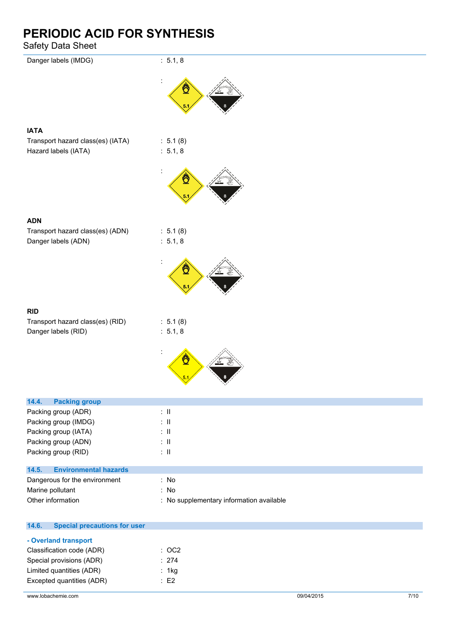| odioty Data Orioct                    |                                          |
|---------------------------------------|------------------------------------------|
| Danger labels (IMDG)                  | : 5.1, 8                                 |
|                                       | ₾                                        |
| <b>IATA</b>                           |                                          |
| Transport hazard class(es) (IATA)     | : 5.1(8)                                 |
| Hazard labels (IATA)                  | : 5.1, 8                                 |
|                                       | Ö                                        |
| <b>ADN</b>                            |                                          |
| Transport hazard class(es) (ADN)      | : 5.1(8)                                 |
| Danger labels (ADN)                   | : 5.1, 8                                 |
|                                       |                                          |
|                                       | Ö                                        |
| <b>RID</b>                            |                                          |
| Transport hazard class(es) (RID)      | : 5.1(8)                                 |
| Danger labels (RID)                   | : 5.1, 8                                 |
|                                       | ₾                                        |
| 14.4.<br><b>Packing group</b>         |                                          |
| Packing group (ADR)                   | $\therefore$ II                          |
| Packing group (IMDG)                  | $\therefore$ II                          |
| Packing group (IATA)                  | $\div$ II                                |
| Packing group (ADN)                   | $\therefore$ H                           |
| Packing group (RID)                   | $\colon$ $\ensuremath{\mathsf{II}}$      |
| <b>Environmental hazards</b><br>14.5. |                                          |
| Dangerous for the environment         | : No                                     |
| Marine pollutant                      | : No                                     |
| Other information                     | : No supplementary information available |
|                                       |                                          |

| 14.6. | <b>Special precautions for user</b> |                  |
|-------|-------------------------------------|------------------|
|       | - Overland transport                |                  |
|       | Classification code (ADR)           | $\therefore$ OC2 |
|       | Special provisions (ADR)            | : 274            |
|       | Limited quantities (ADR)            | : 1 $kg$         |
|       | Excepted quantities (ADR)           | $\therefore$ F2  |
|       |                                     |                  |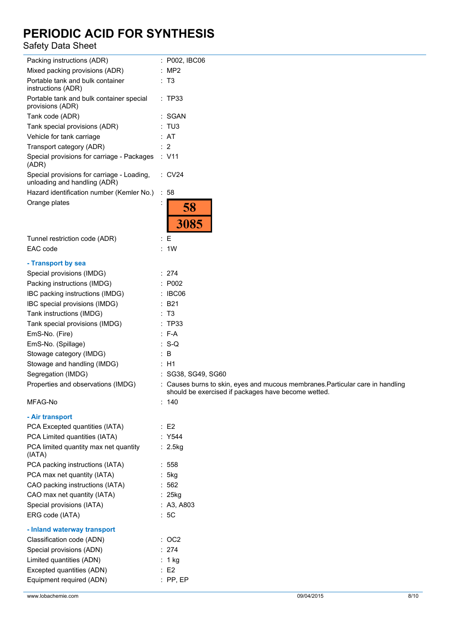| Packing instructions (ADR)                                                 | $:$ P002, IBC06                                                                                                                       |
|----------------------------------------------------------------------------|---------------------------------------------------------------------------------------------------------------------------------------|
| Mixed packing provisions (ADR)                                             | : MP2                                                                                                                                 |
| Portable tank and bulk container<br>instructions (ADR)                     | : T3                                                                                                                                  |
| Portable tank and bulk container special<br>provisions (ADR)               | : TP33                                                                                                                                |
| Tank code (ADR)                                                            | : SGAN                                                                                                                                |
| Tank special provisions (ADR)                                              | : TU3                                                                                                                                 |
| Vehicle for tank carriage                                                  | : AT                                                                                                                                  |
| Transport category (ADR)                                                   | $\therefore$ 2                                                                                                                        |
| Special provisions for carriage - Packages<br>(ADR)                        | : V11                                                                                                                                 |
| Special provisions for carriage - Loading,<br>unloading and handling (ADR) | $\therefore$ CV24                                                                                                                     |
| Hazard identification number (Kemler No.)                                  | : 58                                                                                                                                  |
| Orange plates                                                              | 58<br>3085                                                                                                                            |
| Tunnel restriction code (ADR)                                              | E                                                                                                                                     |
| EAC code                                                                   | : 1W                                                                                                                                  |
|                                                                            |                                                                                                                                       |
| - Transport by sea                                                         |                                                                                                                                       |
| Special provisions (IMDG)                                                  | : 274                                                                                                                                 |
| Packing instructions (IMDG)                                                | : P002                                                                                                                                |
| IBC packing instructions (IMDG)                                            | $\therefore$ IBC06                                                                                                                    |
| IBC special provisions (IMDG)                                              | : B21                                                                                                                                 |
| Tank instructions (IMDG)                                                   | : T3                                                                                                                                  |
| Tank special provisions (IMDG)                                             | : TP33                                                                                                                                |
| EmS-No. (Fire)                                                             | : F-A                                                                                                                                 |
| EmS-No. (Spillage)                                                         | $: S-Q$                                                                                                                               |
| Stowage category (IMDG)                                                    | : B                                                                                                                                   |
| Stowage and handling (IMDG)                                                | : H1                                                                                                                                  |
| Segregation (IMDG)                                                         | : SG38, SG49, SG60                                                                                                                    |
| Properties and observations (IMDG)                                         | : Causes burns to skin, eyes and mucous membranes. Particular care in handling<br>should be exercised if packages have become wetted. |
| MFAG-No                                                                    | : 140                                                                                                                                 |
| - Air transport                                                            |                                                                                                                                       |
| PCA Excepted quantities (IATA)                                             | $\therefore$ E2                                                                                                                       |
| PCA Limited quantities (IATA)                                              | : Y544                                                                                                                                |
| PCA limited quantity max net quantity<br>(IATA)                            | : 2.5kg                                                                                                                               |
| PCA packing instructions (IATA)                                            | : 558                                                                                                                                 |
| PCA max net quantity (IATA)                                                | : 5kg                                                                                                                                 |
| CAO packing instructions (IATA)                                            | :562                                                                                                                                  |
| CAO max net quantity (IATA)                                                | $: 25$ kg                                                                                                                             |
| Special provisions (IATA)                                                  | : A3, A803                                                                                                                            |
| ERG code (IATA)                                                            | :5C                                                                                                                                   |
| - Inland waterway transport                                                |                                                                                                                                       |
| Classification code (ADN)                                                  | :OC2                                                                                                                                  |
| Special provisions (ADN)                                                   | : 274                                                                                                                                 |
| Limited quantities (ADN)                                                   | : 1 kg                                                                                                                                |
| Excepted quantities (ADN)                                                  | $\therefore$ E2                                                                                                                       |
| Equipment required (ADN)                                                   | $:$ PP, EP                                                                                                                            |
|                                                                            |                                                                                                                                       |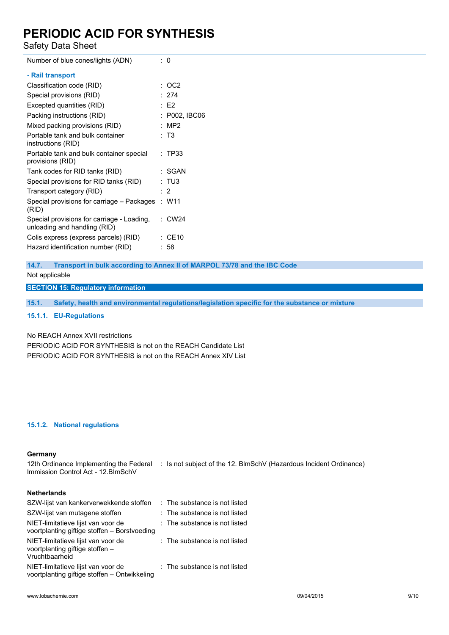Safety Data Sheet

| Number of blue cones/lights (ADN)                                          | ∶0                |
|----------------------------------------------------------------------------|-------------------|
| - Rail transport                                                           |                   |
| Classification code (RID)                                                  | : OC2             |
| Special provisions (RID)                                                   | : 274             |
| Excepted quantities (RID)                                                  | E2                |
| Packing instructions (RID)                                                 | : P002, IBC06     |
| Mixed packing provisions (RID)                                             | MP <sub>2</sub>   |
| Portable tank and bulk container<br>instructions (RID)                     | : T3              |
| Portable tank and bulk container special<br>provisions (RID)               | : TP33            |
| Tank codes for RID tanks (RID)                                             | : SGAN            |
| Special provisions for RID tanks (RID)                                     | : TU3             |
| Transport category (RID)                                                   | $\cdot$ 2         |
| Special provisions for carriage - Packages<br>(RID)                        | : W11             |
| Special provisions for carriage - Loading,<br>unloading and handling (RID) | $\therefore$ CW24 |
| Colis express (express parcels) (RID)                                      | : CE10            |
| Hazard identification number (RID)                                         | : 58              |
|                                                                            |                   |

**14.7. Transport in bulk according to Annex II of MARPOL 73/78 and the IBC Code**

Not applicable

**SECTION 15: Regulatory information**

**15.1. Safety, health and environmental regulations/legislation specific for the substance or mixture**

**15.1.1. EU-Regulations**

No REACH Annex XVII restrictions

PERIODIC ACID FOR SYNTHESIS is not on the REACH Candidate List PERIODIC ACID FOR SYNTHESIS is not on the REACH Annex XIV List

#### **15.1.2. National regulations**

#### **Germany**

12th Ordinance Implementing the Federal : Is not subject of the 12. BlmSchV (Hazardous Incident Ordinance) Immission Control Act - 12.BImSchV

### **Netherlands**

| SZW-lijst van kankerverwekkende stoffen                                                 | : The substance is not listed |
|-----------------------------------------------------------------------------------------|-------------------------------|
| SZW-lijst van mutagene stoffen                                                          | : The substance is not listed |
| NIET-limitatieve lijst van voor de<br>voortplanting giftige stoffen - Borstvoeding      | : The substance is not listed |
| NIET-limitatieve lijst van voor de<br>voortplanting giftige stoffen -<br>Vruchtbaarheid | : The substance is not listed |
| NIET-limitatieve lijst van voor de<br>voortplanting giftige stoffen - Ontwikkeling      | : The substance is not listed |